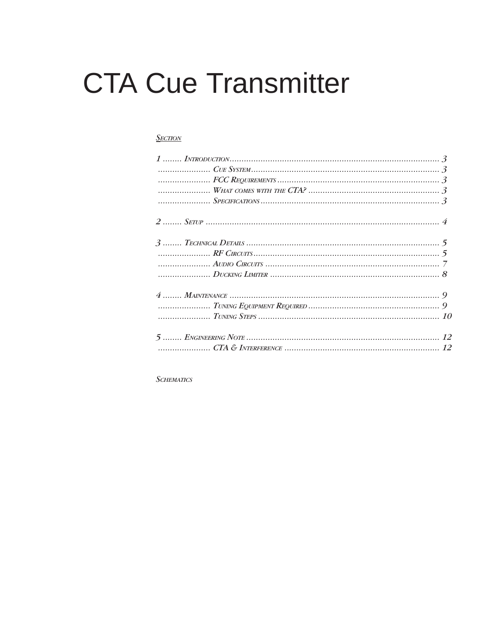# **CTA Cue Transmitter**

### **SECTION**

**SCHEMATICS**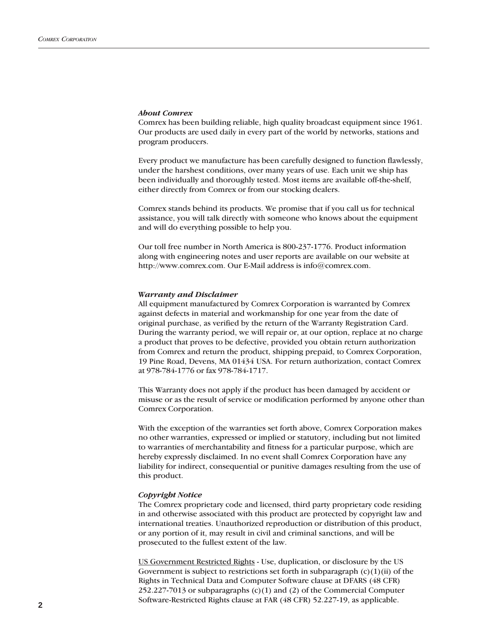### *About Comrex*

Comrex has been building reliable, high quality broadcast equipment since 1961. Our products are used daily in every part of the world by networks, stations and program producers.

Every product we manufacture has been carefully designed to function flawlessly, under the harshest conditions, over many years of use. Each unit we ship has been individually and thoroughly tested. Most items are available off-the-shelf, either directly from Comrex or from our stocking dealers.

Comrex stands behind its products. We promise that if you call us for technical assistance, you will talk directly with someone who knows about the equipment and will do everything possible to help you.

Our toll free number in North America is 800-237-1776. Product information along with engineering notes and user reports are available on our website at http://www.comrex.com. Our E-Mail address is info@comrex.com.

### *Warranty and Disclaimer*

All equipment manufactured by Comrex Corporation is warranted by Comrex against defects in material and workmanship for one year from the date of original purchase, as verified by the return of the Warranty Registration Card. During the warranty period, we will repair or, at our option, replace at no charge a product that proves to be defective, provided you obtain return authorization from Comrex and return the product, shipping prepaid, to Comrex Corporation, 19 Pine Road, Devens, MA 01434 USA. For return authorization, contact Comrex at 978-784-1776 or fax 978-784-1717.

This Warranty does not apply if the product has been damaged by accident or misuse or as the result of service or modification performed by anyone other than Comrex Corporation.

With the exception of the warranties set forth above, Comrex Corporation makes no other warranties, expressed or implied or statutory, including but not limited to warranties of merchantability and fitness for a particular purpose, which are hereby expressly disclaimed. In no event shall Comrex Corporation have any liability for indirect, consequential or punitive damages resulting from the use of this product.

### *Copyright Notice*

The Comrex proprietary code and licensed, third party proprietary code residing in and otherwise associated with this product are protected by copyright law and international treaties. Unauthorized reproduction or distribution of this product, or any portion of it, may result in civil and criminal sanctions, and will be prosecuted to the fullest extent of the law.

US Government Restricted Rights - Use, duplication, or disclosure by the US Government is subject to restrictions set forth in subparagraph  $(c)(1)(ii)$  of the Rights in Technical Data and Computer Software clause at DFARS (48 CFR) 252.227-7013 or subparagraphs (c)(1) and (2) of the Commercial Computer Software-Restricted Rights clause at FAR (48 CFR) 52.227-19, as applicable.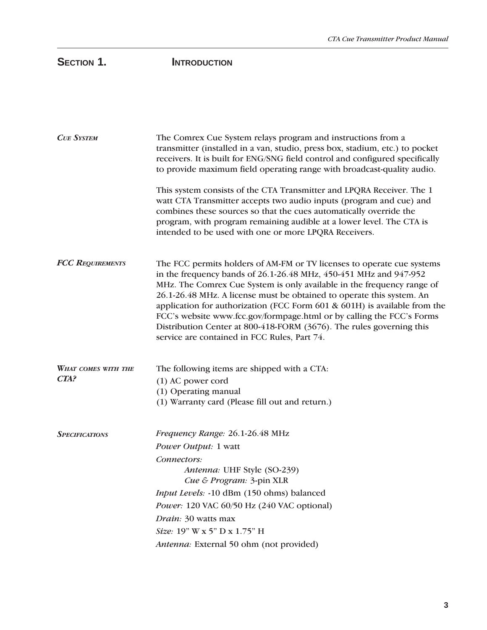# SECTION 1. **INTRODUCTION**

| <b>CUE SYSTEM</b>                  | The Comrex Cue System relays program and instructions from a<br>transmitter (installed in a van, studio, press box, stadium, etc.) to pocket<br>receivers. It is built for ENG/SNG field control and configured specifically<br>to provide maximum field operating range with broadcast-quality audio.                                                                                                                                                                                                                                                                       |
|------------------------------------|------------------------------------------------------------------------------------------------------------------------------------------------------------------------------------------------------------------------------------------------------------------------------------------------------------------------------------------------------------------------------------------------------------------------------------------------------------------------------------------------------------------------------------------------------------------------------|
|                                    | This system consists of the CTA Transmitter and LPQRA Receiver. The 1<br>watt CTA Transmitter accepts two audio inputs (program and cue) and<br>combines these sources so that the cues automatically override the<br>program, with program remaining audible at a lower level. The CTA is<br>intended to be used with one or more LPQRA Receivers.                                                                                                                                                                                                                          |
| <b>FCC REQUIREMENTS</b>            | The FCC permits holders of AM-FM or TV licenses to operate cue systems<br>in the frequency bands of 26.1-26.48 MHz, 450-451 MHz and 947-952<br>MHz. The Comrex Cue System is only available in the frequency range of<br>26.1-26.48 MHz. A license must be obtained to operate this system. An<br>application for authorization (FCC Form 601 & 601H) is available from the<br>FCC's website www.fcc.gov/formpage.html or by calling the FCC's Forms<br>Distribution Center at 800-418-FORM (3676). The rules governing this<br>service are contained in FCC Rules, Part 74. |
| <b>WHAT COMES WITH THE</b><br>CTA? | The following items are shipped with a CTA:<br>(1) AC power cord<br>(1) Operating manual<br>(1) Warranty card (Please fill out and return.)                                                                                                                                                                                                                                                                                                                                                                                                                                  |
| <b>SPECIFICATIONS</b>              | Frequency Range: 26.1-26.48 MHz<br><i>Power Output: 1 watt</i><br>Connectors:<br>Antenna: UHF Style (SO-239)<br>Cue & Program: 3-pin XLR                                                                                                                                                                                                                                                                                                                                                                                                                                     |
|                                    | Input Levels: -10 dBm (150 ohms) balanced                                                                                                                                                                                                                                                                                                                                                                                                                                                                                                                                    |
|                                    | Power: 120 VAC 60/50 Hz (240 VAC optional)                                                                                                                                                                                                                                                                                                                                                                                                                                                                                                                                   |
|                                    | Drain: 30 watts max                                                                                                                                                                                                                                                                                                                                                                                                                                                                                                                                                          |
|                                    | Size: 19" W x 5" D x 1.75" H                                                                                                                                                                                                                                                                                                                                                                                                                                                                                                                                                 |
|                                    | Antenna: External 50 ohm (not provided)                                                                                                                                                                                                                                                                                                                                                                                                                                                                                                                                      |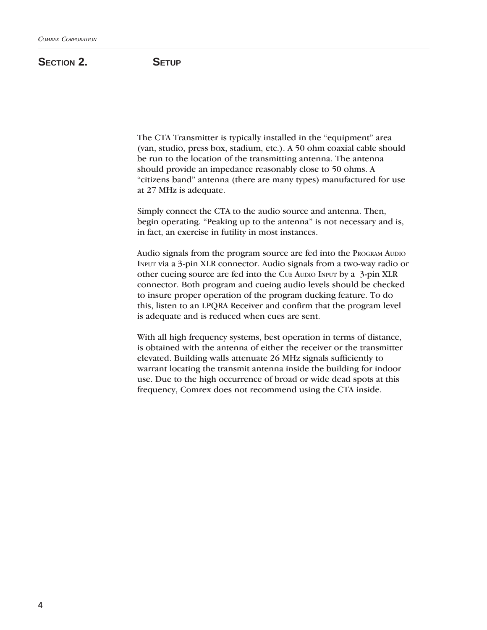## SECTION 2. **SETUP**

The CTA Transmitter is typically installed in the "equipment" area (van, studio, press box, stadium, etc.). A 50 ohm coaxial cable should be run to the location of the transmitting antenna. The antenna should provide an impedance reasonably close to 50 ohms. A "citizens band" antenna (there are many types) manufactured for use at 27 MHz is adequate.

Simply connect the CTA to the audio source and antenna. Then, begin operating. "Peaking up to the antenna" is not necessary and is, in fact, an exercise in futility in most instances.

Audio signals from the program source are fed into the PROGRAM AUDIO INPUT via a 3-pin XLR connector. Audio signals from a two-way radio or other cueing source are fed into the CUE AUDIO INPUT by a 3-pin XLR connector. Both program and cueing audio levels should be checked to insure proper operation of the program ducking feature. To do this, listen to an LPQRA Receiver and confirm that the program level is adequate and is reduced when cues are sent.

With all high frequency systems, best operation in terms of distance, is obtained with the antenna of either the receiver or the transmitter elevated. Building walls attenuate 26 MHz signals sufficiently to warrant locating the transmit antenna inside the building for indoor use. Due to the high occurrence of broad or wide dead spots at this frequency, Comrex does not recommend using the CTA inside.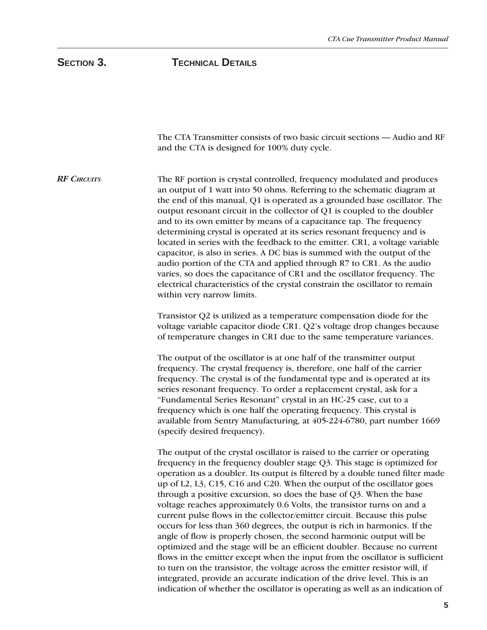# SECTION 3. **TECHNICAL DETAILS**

| The CTA Transmitter consists of two basic circuit sections - Audio and RF<br>and the CTA is designed for 100% duty cycle.                                                                                                                                                                                                                                                                                                                                                                                                                                                                                                                                                                                                                                                                                                                                                                                                                                                                                                     |
|-------------------------------------------------------------------------------------------------------------------------------------------------------------------------------------------------------------------------------------------------------------------------------------------------------------------------------------------------------------------------------------------------------------------------------------------------------------------------------------------------------------------------------------------------------------------------------------------------------------------------------------------------------------------------------------------------------------------------------------------------------------------------------------------------------------------------------------------------------------------------------------------------------------------------------------------------------------------------------------------------------------------------------|
| The RF portion is crystal controlled, frequency modulated and produces<br>an output of 1 watt into 50 ohms. Referring to the schematic diagram at<br>the end of this manual, Q1 is operated as a grounded base oscillator. The<br>output resonant circuit in the collector of Q1 is coupled to the doubler<br>and to its own emitter by means of a capacitance tap. The frequency<br>determining crystal is operated at its series resonant frequency and is<br>located in series with the feedback to the emitter. CR1, a voltage variable<br>capacitor, is also in series. A DC bias is summed with the output of the<br>audio portion of the CTA and applied through R7 to CR1. As the audio<br>varies, so does the capacitance of CR1 and the oscillator frequency. The<br>electrical characteristics of the crystal constrain the oscillator to remain<br>within very narrow limits.                                                                                                                                     |
| Transistor Q2 is utilized as a temperature compensation diode for the<br>voltage variable capacitor diode CR1. Q2's voltage drop changes because<br>of temperature changes in CR1 due to the same temperature variances.                                                                                                                                                                                                                                                                                                                                                                                                                                                                                                                                                                                                                                                                                                                                                                                                      |
| The output of the oscillator is at one half of the transmitter output<br>frequency. The crystal frequency is, therefore, one half of the carrier<br>frequency. The crystal is of the fundamental type and is operated at its<br>series resonant frequency. To order a replacement crystal, ask for a<br>"Fundamental Series Resonant" crystal in an HC-25 case, cut to a<br>frequency which is one half the operating frequency. This crystal is<br>available from Sentry Manufacturing, at 405-224-6780, part number 1669<br>(specify desired frequency).                                                                                                                                                                                                                                                                                                                                                                                                                                                                    |
| The output of the crystal oscillator is raised to the carrier or operating<br>frequency in the frequency doubler stage Q3. This stage is optimized for<br>operation as a doubler. Its output is filtered by a double tuned filter made<br>up of L2, L3, C15, C16 and C20. When the output of the oscillator goes<br>through a positive excursion, so does the base of $Q3$ . When the base<br>voltage reaches approximately 0.6 Volts, the transistor turns on and a<br>current pulse flows in the collector/emitter circuit. Because this pulse<br>occurs for less than 360 degrees, the output is rich in harmonics. If the<br>angle of flow is properly chosen, the second harmonic output will be<br>optimized and the stage will be an efficient doubler. Because no current<br>flows in the emitter except when the input from the oscillator is sufficient<br>to turn on the transistor, the voltage across the emitter resistor will, if<br>integrated, provide an accurate indication of the drive level. This is an |
|                                                                                                                                                                                                                                                                                                                                                                                                                                                                                                                                                                                                                                                                                                                                                                                                                                                                                                                                                                                                                               |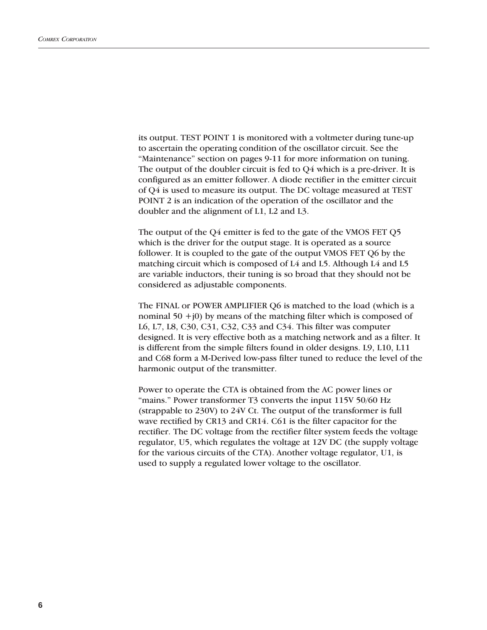its output. TEST POINT 1 is monitored with a voltmeter during tune-up to ascertain the operating condition of the oscillator circuit. See the "Maintenance" section on pages 9-11 for more information on tuning. The output of the doubler circuit is fed to Q4 which is a pre-driver. It is configured as an emitter follower. A diode rectifier in the emitter circuit of Q4 is used to measure its output. The DC voltage measured at TEST POINT 2 is an indication of the operation of the oscillator and the doubler and the alignment of L1, L2 and L3.

The output of the Q4 emitter is fed to the gate of the VMOS FET Q5 which is the driver for the output stage. It is operated as a source follower. It is coupled to the gate of the output VMOS FET Q6 by the matching circuit which is composed of L4 and L5. Although L4 and L5 are variable inductors, their tuning is so broad that they should not be considered as adjustable components.

The FINAL or POWER AMPLIFIER Q6 is matched to the load (which is a nominal  $50 + j0$ ) by means of the matching filter which is composed of L6, L7, L8, C30, C31, C32, C33 and C34. This filter was computer designed. It is very effective both as a matching network and as a filter. It is different from the simple filters found in older designs. L9, L10, L11 and C68 form a M-Derived low-pass filter tuned to reduce the level of the harmonic output of the transmitter.

Power to operate the CTA is obtained from the AC power lines or "mains." Power transformer T3 converts the input 115V 50/60 Hz (strappable to 230V) to 24V Ct. The output of the transformer is full wave rectified by CR13 and CR14. C61 is the filter capacitor for the rectifier. The DC voltage from the rectifier filter system feeds the voltage regulator, U5, which regulates the voltage at 12V DC (the supply voltage for the various circuits of the CTA). Another voltage regulator, U1, is used to supply a regulated lower voltage to the oscillator.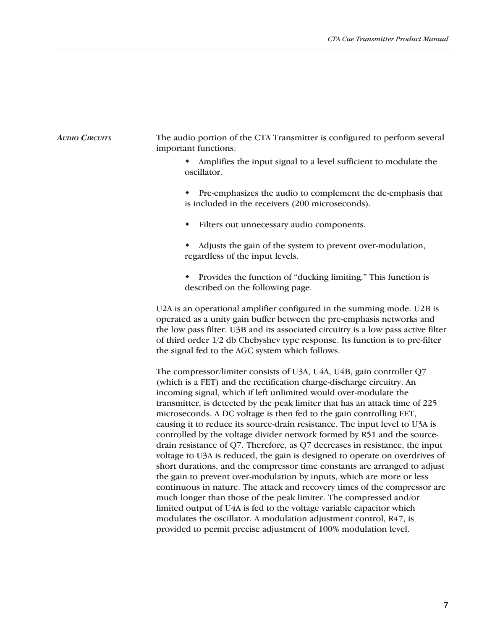### The audio portion of the CTA Transmitter is configured to perform several important functions: *AUDIO CIRCUITS*

- Amplifies the input signal to a level sufficient to modulate the oscillator.
- Pre-emphasizes the audio to complement the de-emphasis that is included in the receivers (200 microseconds).
- Filters out unnecessary audio components.
- Adjusts the gain of the system to prevent over-modulation, regardless of the input levels.
- Provides the function of "ducking limiting." This function is described on the following page.

U2A is an operational amplifier configured in the summing mode. U2B is operated as a unity gain buffer between the pre-emphasis networks and the low pass filter. U3B and its associated circuitry is a low pass active filter of third order 1/2 db Chebyshev type response. Its function is to pre-filter the signal fed to the AGC system which follows.

The compressor/limiter consists of U3A, U4A, U4B, gain controller Q7 (which is a FET) and the rectification charge-discharge circuitry. An incoming signal, which if left unlimited would over-modulate the transmitter, is detected by the peak limiter that has an attack time of 225 microseconds. A DC voltage is then fed to the gain controlling FET, causing it to reduce its source-drain resistance. The input level to U3A is controlled by the voltage divider network formed by R51 and the sourcedrain resistance of Q7. Therefore, as Q7 decreases in resistance, the input voltage to U3A is reduced, the gain is designed to operate on overdrives of short durations, and the compressor time constants are arranged to adjust the gain to prevent over-modulation by inputs, which are more or less continuous in nature. The attack and recovery times of the compressor are much longer than those of the peak limiter. The compressed and/or limited output of U4A is fed to the voltage variable capacitor which modulates the oscillator. A modulation adjustment control, R47, is provided to permit precise adjustment of 100% modulation level.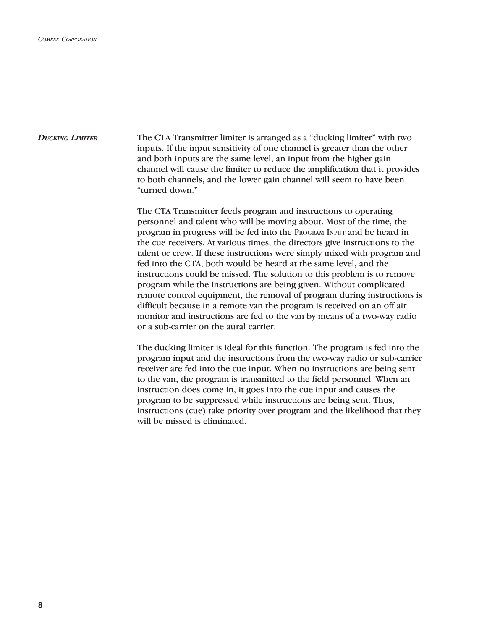The CTA Transmitter limiter is arranged as a "ducking limiter" with two inputs. If the input sensitivity of one channel is greater than the other and both inputs are the same level, an input from the higher gain channel will cause the limiter to reduce the amplification that it provides to both channels, and the lower gain channel will seem to have been "turned down." *DUCKING LIMITER*

> The CTA Transmitter feeds program and instructions to operating personnel and talent who will be moving about. Most of the time, the program in progress will be fed into the PROGRAM INPUT and be heard in the cue receivers. At various times, the directors give instructions to the talent or crew. If these instructions were simply mixed with program and fed into the CTA, both would be heard at the same level, and the instructions could be missed. The solution to this problem is to remove program while the instructions are being given. Without complicated remote control equipment, the removal of program during instructions is difficult because in a remote van the program is received on an off air monitor and instructions are fed to the van by means of a two-way radio or a sub-carrier on the aural carrier.

> The ducking limiter is ideal for this function. The program is fed into the program input and the instructions from the two-way radio or sub-carrier receiver are fed into the cue input. When no instructions are being sent to the van, the program is transmitted to the field personnel. When an instruction does come in, it goes into the cue input and causes the program to be suppressed while instructions are being sent. Thus, instructions (cue) take priority over program and the likelihood that they will be missed is eliminated.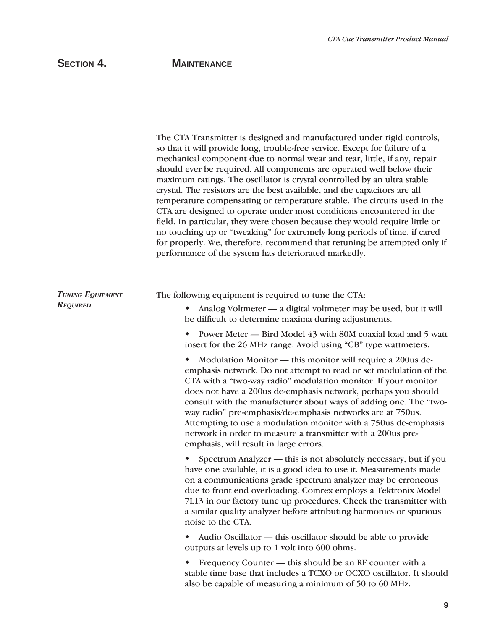# **SECTION 4. MAINTENANCE**

|                                            | The CTA Transmitter is designed and manufactured under rigid controls,<br>so that it will provide long, trouble-free service. Except for failure of a<br>mechanical component due to normal wear and tear, little, if any, repair<br>should ever be required. All components are operated well below their<br>maximum ratings. The oscillator is crystal controlled by an ultra stable<br>crystal. The resistors are the best available, and the capacitors are all<br>temperature compensating or temperature stable. The circuits used in the<br>CTA are designed to operate under most conditions encountered in the<br>field. In particular, they were chosen because they would require little or<br>no touching up or "tweaking" for extremely long periods of time, if cared<br>for properly. We, therefore, recommend that retuning be attempted only if<br>performance of the system has deteriorated markedly. |
|--------------------------------------------|--------------------------------------------------------------------------------------------------------------------------------------------------------------------------------------------------------------------------------------------------------------------------------------------------------------------------------------------------------------------------------------------------------------------------------------------------------------------------------------------------------------------------------------------------------------------------------------------------------------------------------------------------------------------------------------------------------------------------------------------------------------------------------------------------------------------------------------------------------------------------------------------------------------------------|
| <b>TUNING EQUIPMENT</b><br><b>REQUIRED</b> | The following equipment is required to tune the CTA:<br>Analog Voltmeter — a digital voltmeter may be used, but it will<br>be difficult to determine maxima during adjustments.<br>Power Meter — Bird Model 43 with 80M coaxial load and 5 watt<br>insert for the 26 MHz range. Avoid using "CB" type wattmeters.<br>Modulation Monitor — this monitor will require a 200us de-<br>٠<br>emphasis network. Do not attempt to read or set modulation of the<br>CTA with a "two-way radio" modulation monitor. If your monitor<br>does not have a 200us de-emphasis network, perhaps you should                                                                                                                                                                                                                                                                                                                             |
|                                            | consult with the manufacturer about ways of adding one. The "two-<br>way radio" pre-emphasis/de-emphasis networks are at 750us.<br>Attempting to use a modulation monitor with a 750us de-emphasis<br>network in order to measure a transmitter with a 200us pre-<br>emphasis, will result in large errors.                                                                                                                                                                                                                                                                                                                                                                                                                                                                                                                                                                                                              |
|                                            | Spectrum Analyzer — this is not absolutely necessary, but if you<br>have one available, it is a good idea to use it. Measurements made<br>on a communications grade spectrum analyzer may be erroneous<br>due to front end overloading. Comrex employs a Tektronix Model<br>7L13 in our factory tune up procedures. Check the transmitter with<br>a similar quality analyzer before attributing harmonics or spurious<br>noise to the CTA.                                                                                                                                                                                                                                                                                                                                                                                                                                                                               |
|                                            | Audio Oscillator - this oscillator should be able to provide<br>outputs at levels up to 1 volt into 600 ohms.                                                                                                                                                                                                                                                                                                                                                                                                                                                                                                                                                                                                                                                                                                                                                                                                            |
|                                            | Frequency Counter — this should be an RF counter with a<br>stable time base that includes a TCXO or OCXO oscillator. It should<br>also be capable of measuring a minimum of 50 to 60 MHz.                                                                                                                                                                                                                                                                                                                                                                                                                                                                                                                                                                                                                                                                                                                                |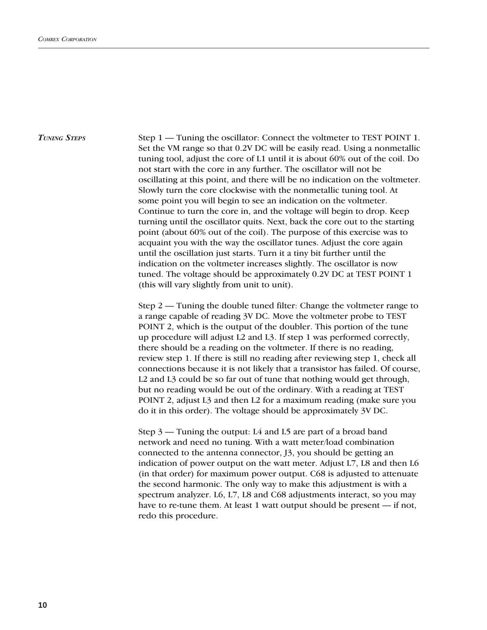*TUNING STEPS*

Step 1 — Tuning the oscillator: Connect the voltmeter to TEST POINT 1. Set the VM range so that 0.2V DC will be easily read. Using a nonmetallic tuning tool, adjust the core of L1 until it is about 60% out of the coil. Do not start with the core in any further. The oscillator will not be oscillating at this point, and there will be no indication on the voltmeter. Slowly turn the core clockwise with the nonmetallic tuning tool. At some point you will begin to see an indication on the voltmeter. Continue to turn the core in, and the voltage will begin to drop. Keep turning until the oscillator quits. Next, back the core out to the starting point (about 60% out of the coil). The purpose of this exercise was to acquaint you with the way the oscillator tunes. Adjust the core again until the oscillation just starts. Turn it a tiny bit further until the indication on the voltmeter increases slightly. The oscillator is now tuned. The voltage should be approximately 0.2V DC at TEST POINT 1 (this will vary slightly from unit to unit).

Step 2 — Tuning the double tuned filter: Change the voltmeter range to a range capable of reading 3V DC. Move the voltmeter probe to TEST POINT 2, which is the output of the doubler. This portion of the tune up procedure will adjust L2 and L3. If step 1 was performed correctly, there should be a reading on the voltmeter. If there is no reading, review step 1. If there is still no reading after reviewing step 1, check all connections because it is not likely that a transistor has failed. Of course, L2 and L3 could be so far out of tune that nothing would get through, but no reading would be out of the ordinary. With a reading at TEST POINT 2, adjust L3 and then L2 for a maximum reading (make sure you do it in this order). The voltage should be approximately 3V DC.

Step 3 — Tuning the output: L4 and L5 are part of a broad band network and need no tuning. With a watt meter/load combination connected to the antenna connector, J3, you should be getting an indication of power output on the watt meter. Adjust L7, L8 and then L6 (in that order) for maximum power output. C68 is adjusted to attenuate the second harmonic. The only way to make this adjustment is with a spectrum analyzer. L6, L7, L8 and C68 adjustments interact, so you may have to re-tune them. At least 1 watt output should be present — if not, redo this procedure.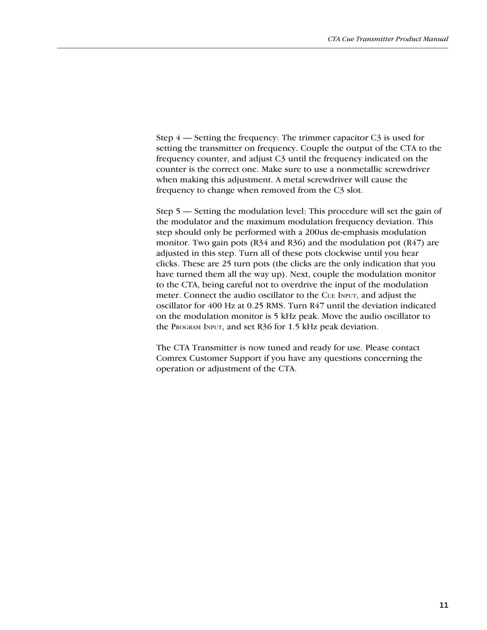Step 4 — Setting the frequency: The trimmer capacitor C3 is used for setting the transmitter on frequency. Couple the output of the CTA to the frequency counter, and adjust C3 until the frequency indicated on the counter is the correct one. Make sure to use a nonmetallic screwdriver when making this adjustment. A metal screwdriver will cause the frequency to change when removed from the C3 slot.

Step 5 — Setting the modulation level: This procedure will set the gain of the modulator and the maximum modulation frequency deviation. This step should only be performed with a 200us de-emphasis modulation monitor. Two gain pots (R34 and R36) and the modulation pot (R47) are adjusted in this step. Turn all of these pots clockwise until you hear clicks. These are 25 turn pots (the clicks are the only indication that you have turned them all the way up). Next, couple the modulation monitor to the CTA, being careful not to overdrive the input of the modulation meter. Connect the audio oscillator to the CUE INPUT, and adjust the oscillator for 400 Hz at 0.25 RMS. Turn R47 until the deviation indicated on the modulation monitor is 5 kHz peak. Move the audio oscillator to the PROGRAM INPUT, and set R36 for 1.5 kHz peak deviation.

The CTA Transmitter is now tuned and ready for use. Please contact Comrex Customer Support if you have any questions concerning the operation or adjustment of the CTA.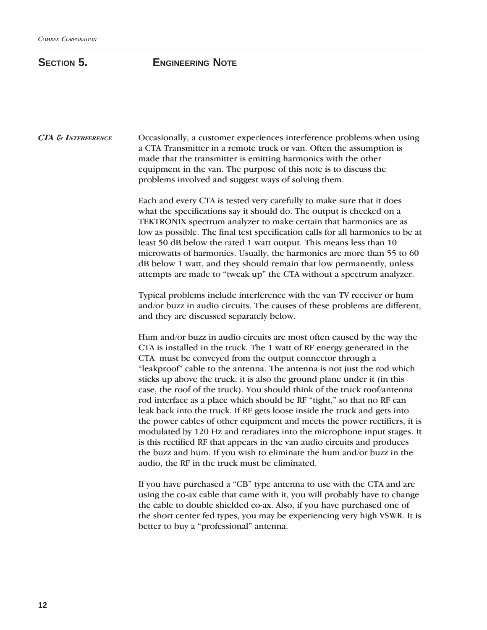# **SECTION 5. ENGINEERING NOTE**

Occasionally, a customer experiences interference problems when using a CTA Transmitter in a remote truck or van. Often the assumption is made that the transmitter is emitting harmonics with the other equipment in the van. The purpose of this note is to discuss the problems involved and suggest ways of solving them. *CTA & INTERFERENCE*

> Each and every CTA is tested very carefully to make sure that it does what the specifications say it should do. The output is checked on a TEKTRONIX spectrum analyzer to make certain that harmonics are as low as possible. The final test specification calls for all harmonics to be at least 50 dB below the rated 1 watt output. This means less than 10 microwatts of harmonics. Usually, the harmonics are more than 55 to 60 dB below 1 watt, and they should remain that low permanently, unless attempts are made to "tweak up" the CTA without a spectrum analyzer.

> Typical problems include interference with the van TV receiver or hum and/or buzz in audio circuits. The causes of these problems are different, and they are discussed separately below.

> Hum and/or buzz in audio circuits are most often caused by the way the CTA is installed in the truck. The 1 watt of RF energy generated in the CTA must be conveyed from the output connector through a "leakproof" cable to the antenna. The antenna is not just the rod which sticks up above the truck; it is also the ground plane under it (in this case, the roof of the truck). You should think of the truck roof/antenna rod interface as a place which should be RF "tight," so that no RF can leak back into the truck. If RF gets loose inside the truck and gets into the power cables of other equipment and meets the power rectifiers, it is modulated by 120 Hz and reradiates into the microphone input stages. It is this rectified RF that appears in the van audio circuits and produces the buzz and hum. If you wish to eliminate the hum and/or buzz in the audio, the RF in the truck must be eliminated.

> If you have purchased a "CB" type antenna to use with the CTA and are using the co-ax cable that came with it, you will probably have to change the cable to double shielded co-ax. Also, if you have purchased one of the short center fed types, you may be experiencing very high VSWR. It is better to buy a "professional" antenna.